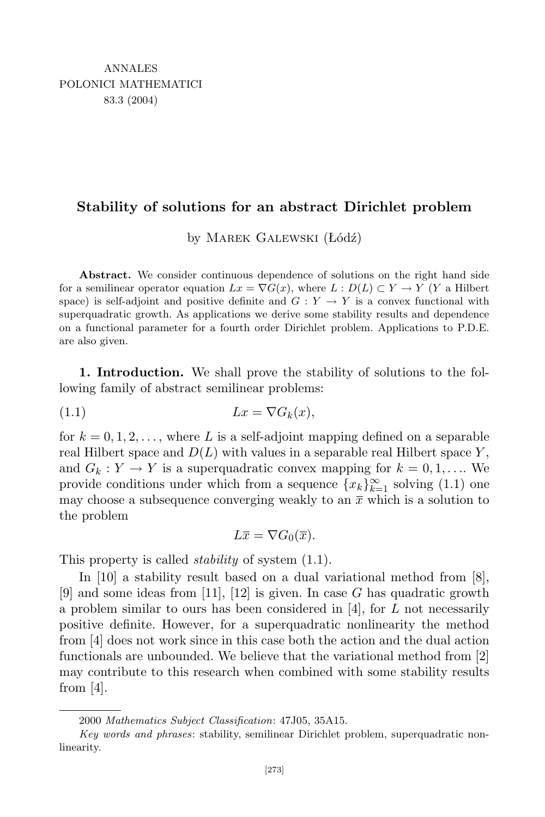## **Stability of solutions for an abstract Dirichlet problem**

by Marek Galewski (Łódź)

**Abstract.** We consider continuous dependence of solutions on the right hand side for a semilinear operator equation  $Lx = \nabla G(x)$ , where  $L: D(L) \subset Y \to Y$  (*Y* a Hilbert space) is self-adjoint and positive definite and  $G: Y \to Y$  is a convex functional with superquadratic growth. As applications we derive some stability results and dependence on a functional parameter for a fourth order Dirichlet problem. Applications to P.D.E. are also given.

**1. Introduction.** We shall prove the stability of solutions to the following family of abstract semilinear problems:

$$
(1.1) \t\t Lx = \nabla G_k(x),
$$

for  $k = 0, 1, 2, \ldots$ , where L is a self-adjoint mapping defined on a separable real Hilbert space and  $D(L)$  with values in a separable real Hilbert space  $Y$ , and  $G_k: Y \to Y$  is a superquadratic convex mapping for  $k = 0, 1, \ldots$  We provide conditions under which from a sequence  ${x_k}_{k=1}^{\infty}$  solving (1.1) one may choose a subsequence converging weakly to an  $\bar{x}$  which is a solution to the problem

$$
L\overline{x} = \nabla G_0(\overline{x}).
$$

This property is called *stability* of system (1.1).

In [10] a stability result based on a dual variational method from [8], [9] and some ideas from [11], [12] is given. In case *G* has quadratic growth a problem similar to ours has been considered in [4], for *L* not necessarily positive definite. However, for a superquadratic nonlinearity the method from [4] does not work since in this case both the action and the dual action functionals are unbounded. We believe that the variational method from [2] may contribute to this research when combined with some stability results from [4].

<sup>2000</sup> *Mathematics Subject Classification*: 47J05, 35A15.

*Key words and phrases*: stability, semilinear Dirichlet problem, superquadratic nonlinearity.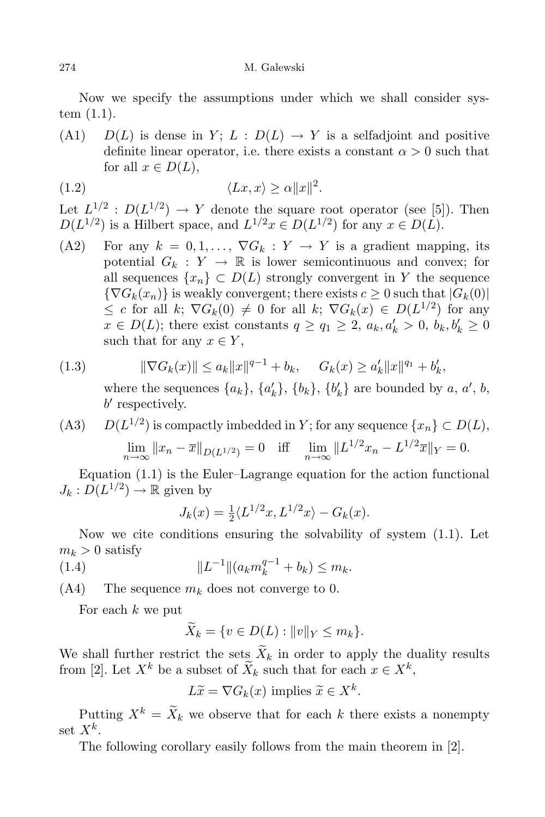Now we specify the assumptions under which we shall consider system (1.1).

(A1) *D(L)* is dense in *Y*;  $L : D(L) \rightarrow Y$  is a selfadjoint and positive definite linear operator, i.e. there exists a constant  $\alpha > 0$  such that for all  $x \in D(L)$ ,

$$
(1.2) \t\t \langle Lx, x \rangle \ge \alpha ||x||^2.
$$

Let  $L^{1/2}: D(L^{1/2}) \to Y$  denote the square root operator (see [5]). Then  $D(L^{1/2})$  is a Hilbert space, and  $L^{1/2}x \in D(L^{1/2})$  for any  $x \in D(L)$ .

(A2) For any  $k = 0, 1, \ldots, \nabla G_k : Y \to Y$  is a gradient mapping, its potential  $G_k : Y \to \mathbb{R}$  is lower semicontinuous and convex; for all sequences  $\{x_n\} \subset D(L)$  strongly convergent in *Y* the sequence  $\{\nabla G_k(x_n)\}\$ is weakly convergent; there exists  $c \geq 0$  such that  $|G_k(0)|$  $\leq c$  for all *k*;  $\nabla G_k(0) \neq 0$  for all *k*;  $\nabla G_k(x) \in D(L^{1/2})$  for any  $x \in D(L)$ ; there exist constants  $q \ge q_1 \ge 2$ ,  $a_k, a'_k > 0$ ,  $b_k, b'_k \ge 0$ such that for any  $x \in Y$ ,

$$
(1.3) \t\t ||\nabla G_k(x)|| \le a_k ||x||^{q-1} + b_k, \t G_k(x) \ge a'_k ||x||^{q_1} + b'_k,
$$

where the sequences  $\{a_k\}, \{a'_k\}, \{b_k\}, \{b'_k\}$  are bounded by a, a', b, b' respectively.

(A3)  $D(L^{1/2})$  is compactly imbedded in *Y*; for any sequence  $\{x_n\} \subset D(L)$ ,  $\lim_{n \to \infty} ||x_n - \overline{x}||_{D(L^{1/2})} = 0$  iff  $\lim_{n \to \infty} ||L^{1/2}x_n - L^{1/2}\overline{x}||_Y = 0.$ 

Equation (1.1) is the Euler–Lagrange equation for the action functional  $J_k: D(L^{1/2}) \to \mathbb{R}$  given by

$$
J_k(x) = \frac{1}{2} \langle L^{1/2} x, L^{1/2} x \rangle - G_k(x).
$$

Now we cite conditions ensuring the solvability of system (1.1). Let  $m_k > 0$  satisfy

(1.4) 
$$
||L^{-1}||(a_k m_k^{q-1} + b_k) \le m_k.
$$

 $(A4)$  The sequence  $m_k$  does not converge to 0.

For each *k* we put

$$
\widetilde{X}_k = \{ v \in D(L) : ||v||_Y \le m_k \}.
$$

We shall further restrict the sets  $X_k$  in order to apply the duality results from [2]. Let  $X^k$  be a subset of  $\tilde{X}_k$  such that for each  $x \in X^k$ ,

 $L\tilde{x} = \nabla G_k(x)$  implies  $\tilde{x} \in X^k$ .

Putting  $X^k = \widetilde{X}_k$  we observe that for each  $k$  there exists a nonempty set  $X^k$ .

The following corollary easily follows from the main theorem in [2].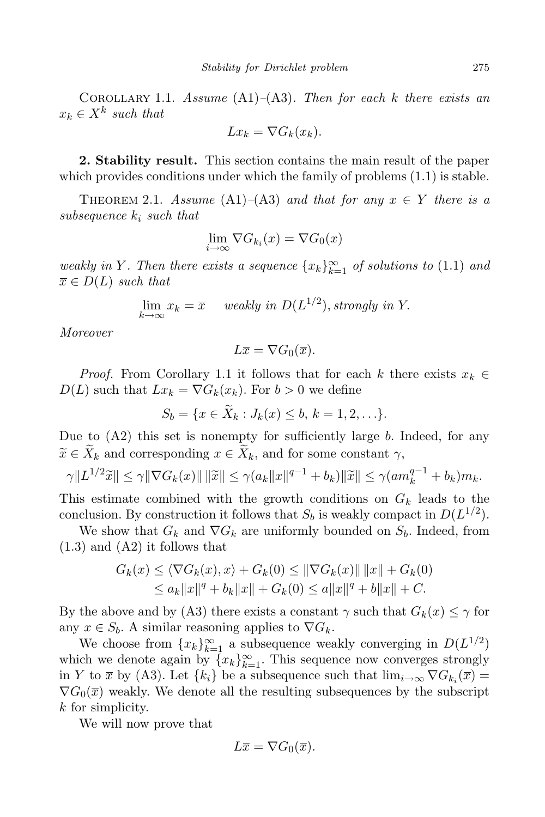Corollary 1.1. *Assume* (A1)*–*(A3)*. Then for each k there exists an*  $x_k \in X^k$  *such that* 

$$
Lx_k = \nabla G_k(x_k).
$$

**2. Stability result.** This section contains the main result of the paper which provides conditions under which the family of problems (1.1) is stable.

THEOREM 2.1. *Assume*  $(A1)–(A3)$  *and that for any*  $x \in Y$  *there is a subsequence k<sup>i</sup> such that*

$$
\lim_{i \to \infty} \nabla G_{k_i}(x) = \nabla G_0(x)
$$

*weakly in Y*. Then there exists a sequence  $\{x_k\}_{k=1}^{\infty}$  *of solutions to* (1.1) *and*  $\overline{x} \in D(L)$  *such that* 

$$
\lim_{k \to \infty} x_k = \overline{x} \quad weakly in D(L^{1/2}), strongly in Y.
$$

*Moreover*

$$
L\overline{x} = \nabla G_0(\overline{x}).
$$

*Proof.* From Corollary 1.1 it follows that for each *k* there exists  $x_k \in$  $D(L)$  such that  $Lx_k = \nabla G_k(x_k)$ . For  $b > 0$  we define

 $S_b = \{x \in X_k : J_k(x) \leq b, k = 1, 2, \ldots\}.$ 

Due to (A2) this set is nonempty for sufficiently large *b*. Indeed, for any  $\widetilde{x} \in \widetilde{X}_k$  and corresponding  $x \in X_k$ , and for some constant  $\gamma$ ,

$$
\gamma ||L^{1/2}\widetilde{x}|| \leq \gamma ||\nabla G_k(x)|| \, ||\widetilde{x}|| \leq \gamma (a_k ||x||^{q-1} + b_k) ||\widetilde{x}|| \leq \gamma (a m_k^{q-1} + b_k) m_k.
$$

This estimate combined with the growth conditions on *G<sup>k</sup>* leads to the conclusion. By construction it follows that  $S_b$  is weakly compact in  $D(L^{1/2})$ .

We show that  $G_k$  and  $\nabla G_k$  are uniformly bounded on  $S_b$ . Indeed, from (1.3) and (A2) it follows that

$$
G_k(x) \le \langle \nabla G_k(x), x \rangle + G_k(0) \le ||\nabla G_k(x)|| ||x|| + G_k(0) \le a_k ||x||^q + b_k ||x|| + G_k(0) \le a||x||^q + b||x|| + C.
$$

By the above and by (A3) there exists a constant  $\gamma$  such that  $G_k(x) \leq \gamma$  for any  $x \in S_b$ . A similar reasoning applies to  $\nabla G_k$ .

We choose from  $\{x_k\}_{k=1}^{\infty}$  a subsequence weakly converging in  $D(L^{1/2})$ which we denote again by  ${x_k}_{k=1}^{\infty}$ . This sequence now converges strongly in *Y* to  $\bar{x}$  by (A3). Let  $\{k_i\}$  be a subsequence such that  $\lim_{i\to\infty} \nabla G_{k_i}(\bar{x})$  $\nabla G_0(\overline{x})$  weakly. We denote all the resulting subsequences by the subscript *k* for simplicity.

We will now prove that

$$
L\overline{x} = \nabla G_0(\overline{x}).
$$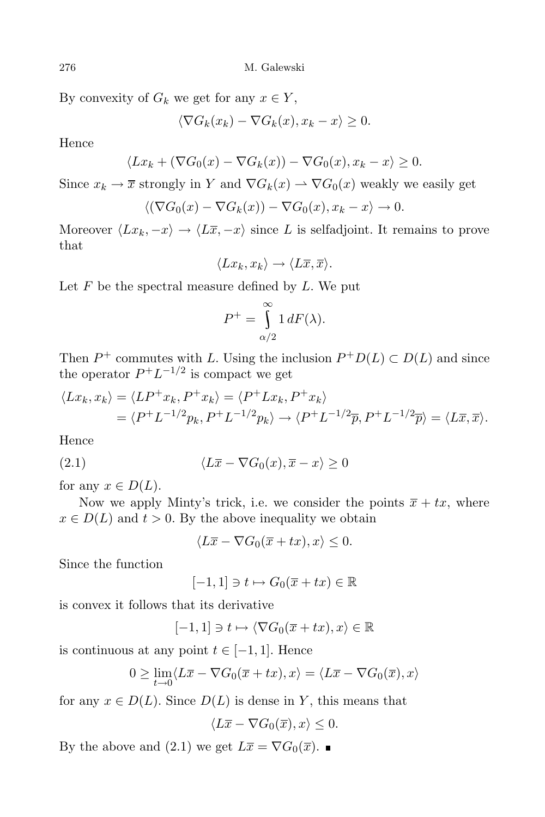276 M. Galewski

By convexity of  $G_k$  we get for any  $x \in Y$ ,

$$
\langle \nabla G_k(x_k) - \nabla G_k(x), x_k - x \rangle \ge 0.
$$

Hence

$$
\langle Lx_k + (\nabla G_0(x) - \nabla G_k(x)) - \nabla G_0(x), x_k - x \rangle \ge 0.
$$

Since  $x_k \to \overline{x}$  strongly in *Y* and  $\nabla G_k(x) \to \nabla G_0(x)$  weakly we easily get

$$
\langle (\nabla G_0(x) - \nabla G_k(x)) - \nabla G_0(x), x_k - x \rangle \to 0.
$$

Moreover  $\langle Lx_k, -x \rangle \rightarrow \langle L\overline{x}, -x \rangle$  since *L* is selfadjoint. It remains to prove that

$$
\langle Lx_k, x_k \rangle \to \langle L\overline{x}, \overline{x} \rangle.
$$

Let *F* be the spectral measure defined by *L*. We put

$$
P^+ = \int_{\alpha/2}^{\infty} 1 \, dF(\lambda).
$$

Then  $P^+$  commutes with *L*. Using the inclusion  $P^+D(L) \subset D(L)$  and since the operator  $P^+L^{-1/2}$  is compact we get

$$
\langle Lx_k, x_k \rangle = \langle LP^+x_k, P^+x_k \rangle = \langle P^+Lx_k, P^+x_k \rangle
$$
  
= 
$$
\langle P^+L^{-1/2}p_k, P^+L^{-1/2}p_k \rangle \longrightarrow \langle P^+L^{-1/2}\overline{p}, P^+L^{-1/2}\overline{p} \rangle = \langle L\overline{x}, \overline{x} \rangle.
$$

Hence

(2.1) 
$$
\langle L\overline{x} - \nabla G_0(x), \overline{x} - x \rangle \ge 0
$$

for any  $x \in D(L)$ .

Now we apply Minty's trick, i.e. we consider the points  $\overline{x} + tx$ , where  $x \in D(L)$  and  $t > 0$ . By the above inequality we obtain

 $\langle L\overline{x} - \nabla G_0(\overline{x} + tx), x \rangle \leq 0.$ 

Since the function

 $[-1, 1] \ni t \mapsto G_0(\overline{x} + tx) \in \mathbb{R}$ 

is convex it follows that its derivative

 $[-1, 1] \ni t \mapsto \langle \nabla G_0(\overline{x} + tx), x \rangle \in \mathbb{R}$ 

is continuous at any point  $t \in [-1, 1]$ . Hence

$$
0 \ge \lim_{t \to 0} \langle L\overline{x} - \nabla G_0(\overline{x} + tx), x \rangle = \langle L\overline{x} - \nabla G_0(\overline{x}), x \rangle
$$

for any  $x \in D(L)$ . Since  $D(L)$  is dense in *Y*, this means that

 $\langle L\overline{x} - \nabla G_0(\overline{x}), x \rangle \leq 0.$ 

By the above and (2.1) we get  $L\bar{x} = \nabla G_0(\bar{x})$ .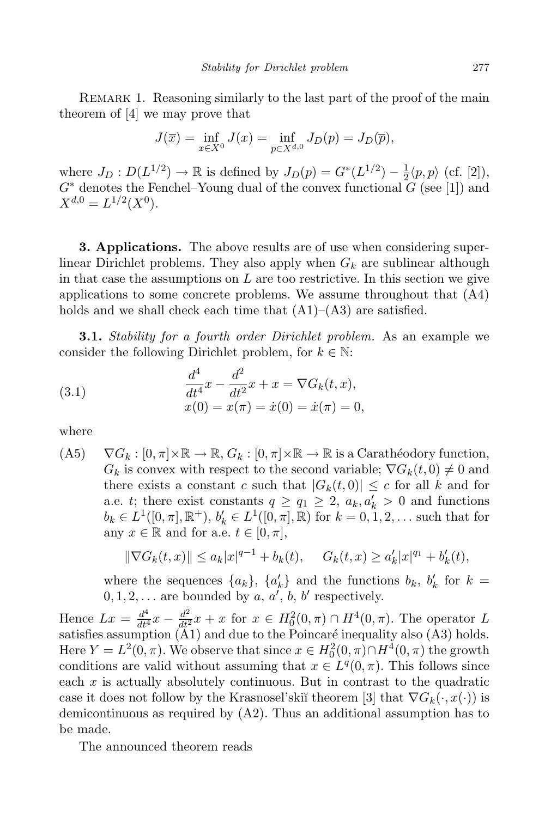REMARK 1. Reasoning similarly to the last part of the proof of the main theorem of [4] we may prove that

$$
J(\overline{x}) = \inf_{x \in X^0} J(x) = \inf_{p \in X^{d,0}} J_D(p) = J_D(\overline{p}),
$$

where  $J_D: D(L^{1/2}) \to \mathbb{R}$  is defined by  $J_D(p) = G^*(L^{1/2}) - \frac{1}{2}$  $\frac{1}{2}\langle p,p\rangle$  (cf. [2]),  $G^*$  denotes the Fenchel–Young dual of the convex functional  $G$  (see [1]) and  $X^{d,0} = L^{1/2}(X^0).$ 

**3. Applications.** The above results are of use when considering superlinear Dirichlet problems. They also apply when *G<sup>k</sup>* are sublinear although in that case the assumptions on *L* are too restrictive. In this section we give applications to some concrete problems. We assume throughout that (A4) holds and we shall check each time that  $(A1)–(A3)$  are satisfied.

**3.1.** *Stability for a fourth order Dirichlet problem.* As an example we consider the following Dirichlet problem, for  $k \in \mathbb{N}$ :

(3.1) 
$$
\frac{d^4}{dt^4}x - \frac{d^2}{dt^2}x + x = \nabla G_k(t, x),
$$

$$
x(0) = x(\pi) = \dot{x}(0) = \dot{x}(\pi) = 0,
$$

where

 $( A5)$   $\nabla G_k : [0, \pi] \times \mathbb{R} \to \mathbb{R}, G_k : [0, \pi] \times \mathbb{R} \to \mathbb{R}$  is a Carathéodory function,  $G_k$  is convex with respect to the second variable;  $\nabla G_k(t,0) \neq 0$  and there exists a constant *c* such that  $|G_k(t,0)| \leq c$  for all *k* and for a.e. *t*; there exist constants  $q \ge q_1 \ge 2$ ,  $a_k, a'_k > 0$  and functions  $b_k \in L^1([0,\pi],\mathbb{R}^+), b'_k \in L^1([0,\pi],\mathbb{R})$  for  $k = 0,1,2,...$  such that for any  $x \in \mathbb{R}$  and for a.e.  $t \in [0, \pi]$ ,

$$
\|\nabla G_k(t,x)\| \le a_k |x|^{q-1} + b_k(t), \quad G_k(t,x) \ge a'_k |x|^{q_1} + b'_k(t),
$$

where the sequences  $\{a_k\}$ ,  $\{a'_k\}$  and the functions  $b_k$ ,  $b'_k$  for  $k =$  $0, 1, 2, \ldots$  are bounded by  $a, a', b, b'$  respectively.

Hence  $Lx = \frac{d^4}{dt^4}x - \frac{d^2}{dt^2}x + x$  for  $x \in H_0^2(0, \pi) \cap H^4(0, \pi)$ . The operator *L* satisfies assumption  $(A1)$  and due to the Poincaré inequality also  $(A3)$  holds. Here  $Y = L^2(0, \pi)$ . We observe that since  $x \in H_0^2(0, \pi) \cap H_0^4(0, \pi)$  the growth conditions are valid without assuming that  $x \in L<sup>q</sup>(0, \pi)$ . This follows since each *x* is actually absolutely continuous. But in contrast to the quadratic case it does not follow by the Krasnosel'skiĭ theorem [3] that  $\nabla G_k(\cdot, x(\cdot))$  is demicontinuous as required by (A2). Thus an additional assumption has to be made.

The announced theorem reads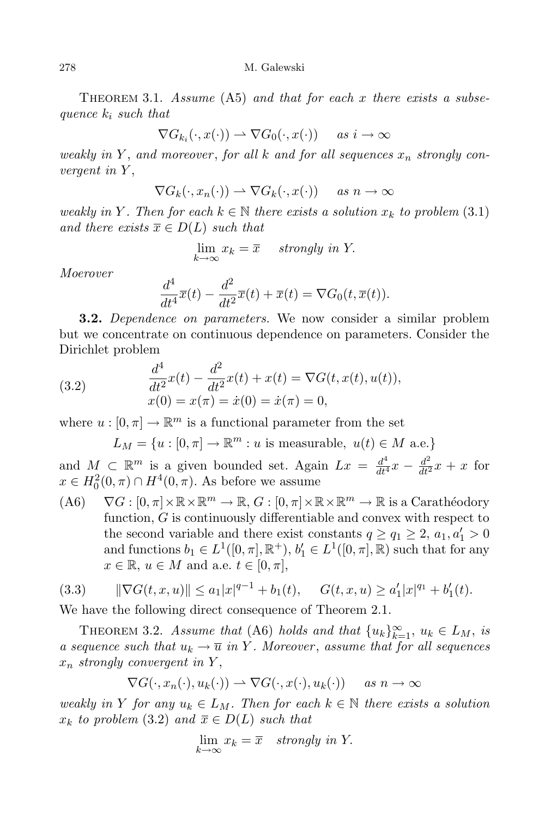Theorem 3.1. *Assume* (A5) *and that for each x there exists a subsequence k<sup>i</sup> such that*

$$
\nabla G_{k_i}(\cdot, x(\cdot)) \rightharpoonup \nabla G_0(\cdot, x(\cdot)) \quad \text{ as } i \to \infty
$$

*weakly in Y* , *and moreover* , *for all k and for all sequences x<sup>n</sup> strongly convergent in Y* ,

$$
\nabla G_k(\cdot, x_n(\cdot)) \rightharpoonup \nabla G_k(\cdot, x(\cdot)) \quad \text{ as } n \to \infty
$$

*weakly* in *Y*. Then for each  $k \in \mathbb{N}$  there exists a solution  $x_k$  to problem (3.1) *and there exists*  $\overline{x} \in D(L)$  *such that* 

$$
\lim_{k \to \infty} x_k = \overline{x} \quad strongly \ in \ Y.
$$

*Moerover*

$$
\frac{d^4}{dt^4}\overline{x}(t) - \frac{d^2}{dt^2}\overline{x}(t) + \overline{x}(t) = \nabla G_0(t, \overline{x}(t)).
$$

**3.2.** *Dependence on parameters.* We now consider a similar problem but we concentrate on continuous dependence on parameters. Consider the Dirichlet problem

(3.2) 
$$
\frac{d^4}{dt^2}x(t) - \frac{d^2}{dt^2}x(t) + x(t) = \nabla G(t, x(t), u(t)),
$$

$$
x(0) = x(\pi) = \dot{x}(0) = \dot{x}(\pi) = 0,
$$

where  $u : [0, \pi] \to \mathbb{R}^m$  is a functional parameter from the set

 $L_M = \{u : [0, \pi] \to \mathbb{R}^m : u \text{ is measurable}, u(t) \in M \text{ a.e.}\}$ 

and  $M \text{ }\subset \mathbb{R}^m$  is a given bounded set. Again  $Lx = \frac{d^4}{dt^4}x - \frac{d^2}{dt^2}x + x$  for  $x \in H_0^2(0, \pi) \cap H^4(0, \pi)$ . As before we assume

(A6)  $\nabla G : [0, \pi] \times \mathbb{R} \times \mathbb{R}^m \to \mathbb{R}, G : [0, \pi] \times \mathbb{R} \times \mathbb{R}^m \to \mathbb{R}$  is a Carathéodory function, *G* is continuously differentiable and convex with respect to the second variable and there exist constants  $q \ge q_1 \ge 2$ ,  $a_1, a'_1 > 0$ and functions  $b_1 \in L^1([0, \pi], \mathbb{R}^+), b'_1 \in L^1([0, \pi], \mathbb{R})$  such that for any  $x \in \mathbb{R}, u \in M$  and a.e.  $t \in [0, \pi],$ 

$$
(3.3) \qquad \|\nabla G(t, x, u)\| \le a_1 |x|^{q-1} + b_1(t), \qquad G(t, x, u) \ge a_1' |x|^{q_1} + b_1'(t).
$$

We have the following direct consequence of Theorem 2.1.

THEOREM 3.2. *Assume that* (A6) *holds* and *that*  $\{u_k\}_{k=1}^{\infty}$ ,  $u_k \in L_M$ , *is a sequence such that*  $u_k \to \overline{u}$  *in Y*. *Moreover*, *assume that for all sequences x<sup>n</sup> strongly convergent in Y* ,

$$
\nabla G(\cdot, x_n(\cdot), u_k(\cdot)) \rightharpoonup \nabla G(\cdot, x(\cdot), u_k(\cdot)) \quad \text{as } n \to \infty
$$

*weakly* in *Y for any*  $u_k \in L_M$ . Then *for each*  $k \in \mathbb{N}$  *there exists a solution*  $x_k$  *to* problem (3.2) and  $\overline{x} \in D(L)$  *such that* 

$$
\lim_{k \to \infty} x_k = \overline{x} \quad strongly \ in \ Y.
$$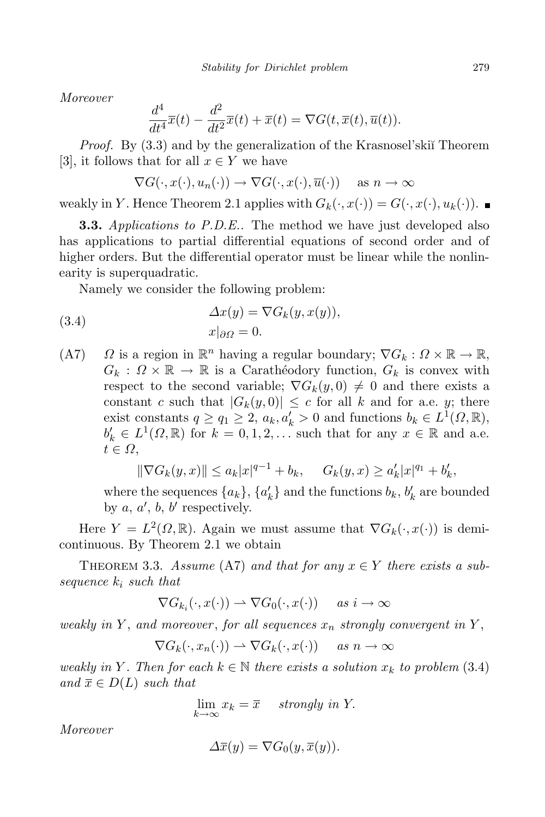*Moreover*

$$
\frac{d^4}{dt^4}\overline{x}(t) - \frac{d^2}{dt^2}\overline{x}(t) + \overline{x}(t) = \nabla G(t, \overline{x}(t), \overline{u}(t)).
$$

*Proof.* By (3.3) and by the generalization of the Krasnosel'ski<sup>†</sup> Theorem [3], it follows that for all  $x \in Y$  we have

$$
\nabla G(\cdot, x(\cdot), u_n(\cdot)) \to \nabla G(\cdot, x(\cdot), \overline{u}(\cdot)) \quad \text{ as } n \to \infty
$$

weakly in *Y*. Hence Theorem 2.1 applies with  $G_k(\cdot, x(\cdot)) = G(\cdot, x(\cdot), u_k(\cdot))$ .

**3.3.** *Applications to P.D.E..* The method we have just developed also has applications to partial differential equations of second order and of higher orders. But the differential operator must be linear while the nonlinearity is superquadratic.

Namely we consider the following problem:

(3.4) 
$$
\Delta x(y) = \nabla G_k(y, x(y)),
$$

$$
x|_{\partial \Omega} = 0.
$$

(A7)  $\Omega$  is a region in  $\mathbb{R}^n$  having a regular boundary;  $\nabla G_k : \Omega \times \mathbb{R} \to \mathbb{R}$ ,  $G_k$  :  $\Omega \times \mathbb{R} \to \mathbb{R}$  is a Carathéodory function,  $G_k$  is convex with respect to the second variable;  $\nabla G_k(y,0) \neq 0$  and there exists a constant *c* such that  $|G_k(y,0)| \leq c$  for all *k* and for a.e. *y*; there exist constants  $q \geq q_1 \geq 2$ ,  $a_k, a'_k > 0$  and functions  $b_k \in L^1(\Omega, \mathbb{R})$ ,  $b'_k \in L^1(\Omega, \mathbb{R})$  for  $k = 0, 1, 2, \ldots$  such that for any  $x \in \mathbb{R}$  and a.e. *t ∈ Ω*,

$$
\|\nabla G_k(y,x)\| \le a_k |x|^{q-1} + b_k, \quad G_k(y,x) \ge a'_k |x|^{q_1} + b'_k,
$$

where the sequences  $\{a_k\}$ ,  $\{a'_k\}$  and the functions  $b_k$ ,  $b'_k$  are bounded by  $a, a', b, b'$  respectively.

Here  $Y = L^2(\Omega, \mathbb{R})$ . Again we must assume that  $\nabla G_k(\cdot, x(\cdot))$  is demicontinuous. By Theorem 2.1 we obtain

THEOREM 3.3. *Assume* (A7) and that for any  $x \in Y$  there exists a sub*sequence k<sup>i</sup> such that*

$$
\nabla G_{k_i}(\cdot, x(\cdot)) \rightharpoonup \nabla G_0(\cdot, x(\cdot)) \quad \text{ as } i \to \infty
$$

*weakly in*  $Y$ , *and moreover*, *for all sequences*  $x_n$  *strongly convergent in*  $Y$ ,

$$
\nabla G_k(\cdot, x_n(\cdot)) \rightharpoonup \nabla G_k(\cdot, x(\cdot)) \quad \text{ as } n \to \infty
$$

*weakly* in *Y*. Then for each  $k \in \mathbb{N}$  there exists a solution  $x_k$  to problem (3.4)  $and \bar{x} \in D(L)$  *such that* 

$$
\lim_{k \to \infty} x_k = \overline{x} \quad strongly \ in \ Y.
$$

*Moreover*

$$
\Delta \overline{x}(y) = \nabla G_0(y, \overline{x}(y)).
$$